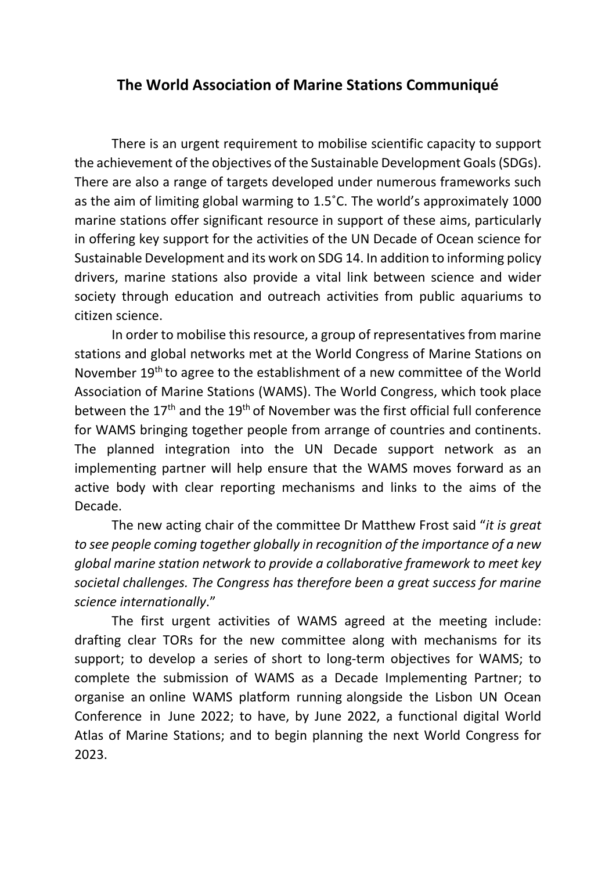## **The World Association of Marine Stations Communiqué**

There is an urgent requirement to mobilise scientific capacity to support the achievement of the objectives of the Sustainable Development Goals (SDGs). There are also a range of targets developed under numerous frameworks such as the aim of limiting global warming to 1.5˚C. The world's approximately 1000 marine stations offer significant resource in support of these aims, particularly in offering key support for the activities of the UN Decade of Ocean science for Sustainable Development and its work on SDG 14. In addition to informing policy drivers, marine stations also provide a vital link between science and wider society through education and outreach activities from public aquariums to citizen science.

In order to mobilise this resource, a group of representatives from marine stations and global networks met at the World Congress of Marine Stations on November 19<sup>th</sup> to agree to the establishment of a new committee of the World Association of Marine Stations (WAMS). The World Congress, which took place between the  $17<sup>th</sup>$  and the  $19<sup>th</sup>$  of November was the first official full conference for WAMS bringing together people from arrange of countries and continents. The planned integration into the UN Decade support network as an implementing partner will help ensure that the WAMS moves forward as an active body with clear reporting mechanisms and links to the aims of the Decade.

The new acting chair of the committee Dr Matthew Frost said "*it is great to see people coming together globally in recognition of the importance of a new global marine station network to provide a collaborative framework to meet key societal challenges. The Congress has therefore been a great success for marine science internationally*."

The first urgent activities of WAMS agreed at the meeting include: drafting clear TORs for the new committee along with mechanisms for its support; to develop a series of short to long-term objectives for WAMS; to complete the submission of WAMS as a Decade Implementing Partner; to organise an online WAMS platform running alongside the Lisbon UN Ocean Conference in June 2022; to have, by June 2022, a functional digital World Atlas of Marine Stations; and to begin planning the next World Congress for 2023.